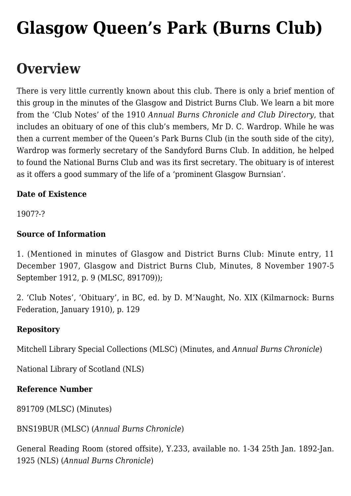# **[Glasgow Queen's Park \(Burns Club\)](https://www.glasgowsliterarybonds.org/societies/glasgow-queens-park-burns-club/)**

## **Overview**

There is very little currently known about this club. There is only a brief mention of this group in the minutes of the Glasgow and District Burns Club. We learn a bit more from the 'Club Notes' of the 1910 *Annual Burns Chronicle and Club Directory*, that includes an obituary of one of this club's members, Mr D. C. Wardrop. While he was then a current member of the Queen's Park Burns Club (in the south side of the city), Wardrop was formerly secretary of the Sandyford Burns Club. In addition, he helped to found the National Burns Club and was its first secretary. The obituary is of interest as it offers a good summary of the life of a 'prominent Glasgow Burnsian'.

### **Date of Existence**

1907?-?

### **Source of Information**

1. (Mentioned in minutes of Glasgow and District Burns Club: Minute entry, 11 December 1907, Glasgow and District Burns Club, Minutes, 8 November 1907-5 September 1912, p. 9 (MLSC, 891709));

2. 'Club Notes', 'Obituary', in BC, ed. by D. M'Naught, No. XIX (Kilmarnock: Burns Federation, January 1910), p. 129

### **Repository**

Mitchell Library Special Collections (MLSC) (Minutes, and *Annual Burns Chronicle*)

National Library of Scotland (NLS)

#### **Reference Number**

891709 (MLSC) (Minutes)

BNS19BUR (MLSC) (*Annual Burns Chronicle*)

General Reading Room (stored offsite), Y.233, available no. 1-34 25th Jan. 1892-Jan. 1925 (NLS) (*Annual Burns Chronicle*)